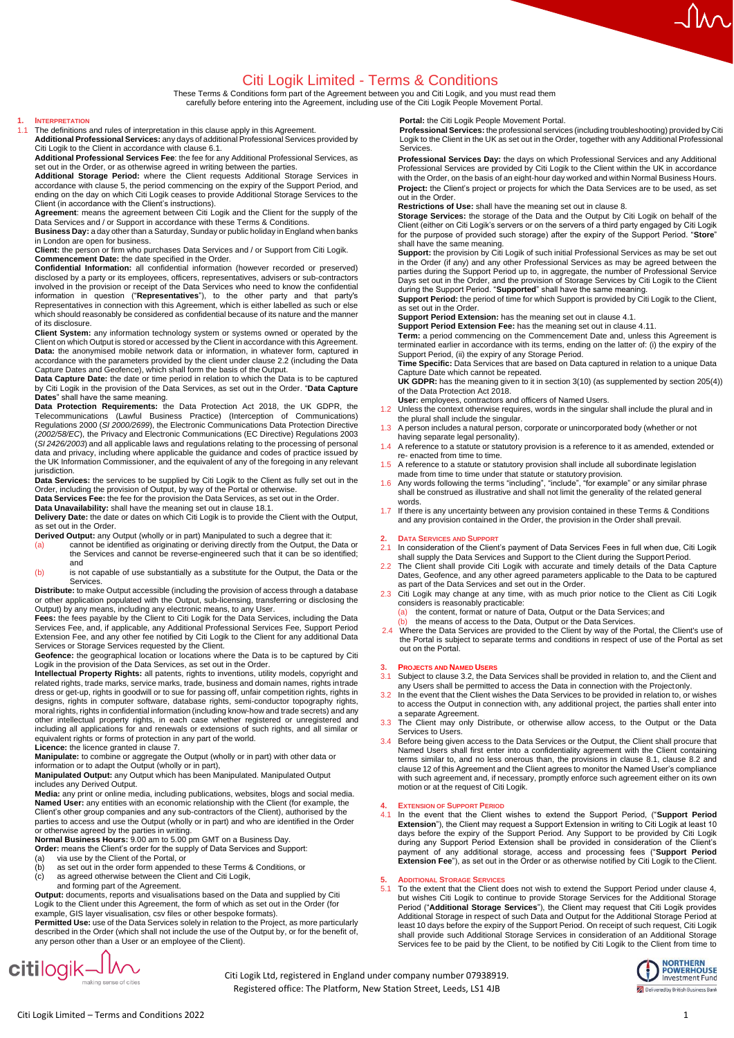## Citi Logik Limited - Terms & Conditions

These Terms & Conditions form part of the Agreement between you and Citi Logik, and you must read them carefully before entering into the Agreement, including use of the Citi Logik People Movement Portal.

## **1. INTERPRETATION**

1.1 The definitions and rules of interpretation in this clause apply in this Agreement. **Additional Professional Services:** any days of additional Professional Services provided by Citi Logik to the Client in accordance with clause 6.1.

**Additional Professional Services Fee**: the fee for any Additional Professional Services, as<br>set out in the Order, or as otherwise agreed in writing between the parties.<br>**Additional Storage Period:** where the Client

accordance with clause 5, the period commencing on the expiry of the Support Period, and ending on the day on which Citi Logik ceases to provide Additional Storage Services to the Client (in accordance with the Client's instructions).

**Agreement**: means the agreement between Citi Logik and the Client for the supply of the Data Services and / or Support in accordance with these Terms & Conditions.

**Business Day:** a day other than a Saturday, Sunday or public holiday in England when banks

in London are open for business. **Client:** the person or firm who purchases Data Services and / or Support from Citi Logik.

**Commencement Date:** the date specified in the Order. **Confidential Information:** all confidential information (however recorded or preserved) disclosed by a party or its employees, officers, representatives, advisers or sub-contractors involved in the provision or receipt of the Data Services who need to know the confidential<br>information in question ("**Representatives**"), to the other party and that party's<br>Representatives in connecti which should reasonably be considered as confidential because of its nature and the manner of its disclosure.

**Client System:** any information technology system or systems owned or operated by the Client on which Output is stored or accessed by the Client in accordance with this Agreement. **Data:** the anonymised mobile network data or information, in whatever form, captured in accordance with the parameters provided by the client under clause 2.2 (including the Data Capture Dates and Geofence), which shall form the basis of the Output.

**Data Capture Date:** the date or time period in relation to which the Data is to be captured by Citi Logik in the provision of the Data Services, as set out in the Order. "**Data Capture** 

**Dates**" shall have the same meaning. **Data Protection Requirements:** the Data Protection Act 2018, the UK GDPR, the Telecommunications (Lawful Business Practice) (Interception of Communications) Regulations 2000 (*SI 2000/2699*), the Electronic Communications Data Protection Directive (*2002/58/EC*), the Privacy and Electronic Communications (EC Directive) Regulations 2003 (*SI 2426/2003*) and all applicable laws and regulations relating to the processing of personal data and privacy, including where applicable the guidance and codes of practice issued by the UK Information Commissioner, and the equivalent of any of the foregoing in any relevant jurisdiction.

**Data Services:** the services to be supplied by Citi Logik to the Client as fully set out in the Order, including the provision of Output, by way of the Portal or otherwise. **Data Services Fee:** the fee for the provision the Data Services, as set out in the Order.

**Data Unavailability:** shall have the meaning set out in clause 18.1.

**Delivery Date:** the date or dates on which Citi Logik is to provide the Client with the Output,

as set out in the Order. **Derived Output:** any Output (wholly or in part) Manipulated to such a degree that it:

- (a) cannot be identified as originating or deriving directly from the Output, the Data or<br>the Services and cannot be reverse-engineered such that it can be so identified; and
- (b) is not capable of use substantially as a substitute for the Output, the Data or the Services.

**Distribute:** to make Output accessible (including the provision of access through a database<br>or other application populated with the Output, sub-licensing, transferring or disclosing the<br>Output) by any means, including an

**Fees:** the fees payable by the Client to Citi Logik for the Data Services, including the Data Services Fee, and, if applicable, any Additional Professional Services Fee, Support Period Extension Fee, and any other fee notified by Citi Logik to the Client for any additional Data

Services or Storage Services requested by the Client. **Geofence:** the geographical location or locations where the Data is to be captured by Citi Logik in the provision of the Data Services, as set out in the Order.

**Intellectual Property Rights:** all patents, rights to inventions, utility models, copyright and<br>related rights, trade marks, service marks, trade, business and domain names, rights intrade dress or get-up, rights in goodwill or to sue for passing off, unfair competition rights, rights in designs, rights in computer software, database rights, semi-conductor topography rights,<br>moral rights, rights in confidential information (including know-how and trade secrets) and any<br>other intellectual property rights, i including all applications for and renewals or extensions of such rights, and all similar or equivalent rights or forms of protection in any part of the world. **Licence:** the licence granted in clause 7.

**Manipulate:** to combine or aggregate the Output (wholly or in part) with other data or<br>information or to adapt the Output (wholly or in part),<br>**Manipulated Output:** any Output which has been Manipulated. Manipulated Outpu

includes any Derived Output.

**Media:** any print or online media, including publications, websites, blogs and social media. **Named User:** any entities with an economic relationship with the Client (for example, the Client's other group companies and any sub-contractors of the Client), authorised by the<br>parties to access and use the Output (wholly or in part) and who are identified in the Order<br>or otherwise agreed by the parties in wr

- (a) via use by the Client of the Portal, or<br>(b) as set out in the order form appended (b) as set out in the order form appended to these Terms & Conditions, or (c) as agreed otherwise between the Client and Citi Logik,
- 
- and forming part of the Agreement.

**Output:** documents, reports and visualisations based on the Data and supplied by Citi Logik to the Client under this Agreement, the form of which as set out in the Order (for example, GIS layer visualisation, csv files or other bespoke formats).

**Permitted Use:** use of the Data Services solely in relation to the Project, as more particularly described in the Order (which shall not include the use of the Output by, or for the benefit of, any person other than a User or an employee of the Client).

 $citilogik$ 

**Portal:** the Citi Logik People Movement Portal.

**Professional Services:** the professional services (including troubleshooting) provided by Citi Logik to the Client in the UK as set out in the Order, together with any Additional Professional Services.

Mr

**Professional Services Day:** the days on which Professional Services and any Additional Professional Services are provided by Citi Logik to the Client within the UK in accordance with the Order, on the basis of an eight-hour day worked and within Normal Business Hours. **Project:** the Client's project or projects for which the Data Services are to be used, as set out in the Order.

**Restrictions of Use:** shall have the meaning set out in clause 8.<br>**Storage Services:** the storage of the Data and the Output by Citi Logik on behalf of the<br>Client (either on Citi Logik's servers or on the servers of a thi for the purpose of provided such storage) after the expiry of the Support Period. "**Store**"

shall have the same meaning. **Support:** the provision by Citi Logik of such initial Professional Services as may be set out in the Order (if any) and any other Professional Services as may be agreed between the parties during the Support Period up to, in aggregate, the number of Professional Service Days set out in the Order, and the provision of Storage Services by Citi Logik to the Client during the Support Period. "**Supported**" shall have the same meaning.

Support Period: the period of time for which Support is provided by Citi Logik to the Client,<br>as set out in the Order.<br>Support Period Extension: has the meaning set out in clause 4.1.<br>Support Period Extension Fee: has the

terminated earlier in accordance with its terms, ending on the latter of: (i) the expiry of the<br>Support Period, (ii) the expiry of any Storage Period.<br>**Time Specific:** Data Services that are based on Data captured in relat

Capture Date which cannot be repeated.<br>**UK GDPR:** has the meaning given to it in section 3(10) (as supplemented by section 205(4))<br>of the Data Protection Act 2018.

- **User:** employees, contractors and officers of Named Users. 1.2 Unless the context otherwise requires, words in the singular shall include the plural and in
- the plural shall include the singular.
- 1.3 A person includes a natural person, corporate or unincorporated body (whether or not having separate legal personality).
- A reference to a statute or statutory provision is a reference to it as amended, extended or re- enacted from time to time.
- 1.5 A reference to a statute or statutory provision shall include all subordinate legislation
- made from time to time under that statute or statutory provision.<br>1.6 Any words following the terms "including", "include", "for example" or any similar phrase<br>shall be construed as illustrative and shall not limit the gen words.
- 1.7 If there is any uncertainty between any provision contained in these Terms & Conditions and any provision contained in the Order, the provision in the Order shall prevail.

**2. DATA SERVICES AND SUPPORT** 2.1 In consideration of the Client's payment of Data Services Fees in full when due, Citi Logik shall supply the Data Services and Support to the Client during the Support Period.

- 2.2 The Client shall provide Citi Logik with accurate and timely details of the Data Capture<br>Dates, Geofence, and any other agreed parameters applicable to the Data to be captured<br>as part of the Data Services and set out i
- 2.3 Citi Logik may change at any time, with as much prior notice to the Client as Citi Logik considers is reasonably practicable:<br>(a) the content, format or nature of Data, Output or the Data Services; and
	-
- (b) the means of access to the Data, Output or the Data Services. 2.4 Where the Data Services are provided to the Client by way of the Portal, the Client's use of

the Portal is subject to separate terms and conditions in respect of use of the Portal as set out on the Portal.

## **3. PROJECTS AND NAMED USERS**

3.1 Subject to clause 3.2, the Data Services shall be provided in relation to, and the Client and any Users shall be permitted to access the Data in connection with the Projectonly.

- 3.2 In the event that the Client wishes the Data Services to be provided in relation to, or wishes to access the Output in connection with, any additional project, the parties shall enter into a separate Agreement.
- 3.3 The Client may only Distribute, or otherwise allow access, to the Output or the Data Services to Users.
- 3.4 Before being given access to the Data Services or the Output, the Client shall procure that Named Users shall first enter into a confidentiality agreement with the Client containing terms similar to, and no less onerous than, the provisions in clause 8.1, clause 8.2 and clause 12 of this Agreement and the Client agrees to monitor the Named User's compliance with such agreement and, if necessary, promptly enforce such agreement either on its own motion or at the request of Citi Logik.

## **4. EXTENSION OF SUPPORT PERIOD**

4.1 In the event that the Client wishes to extend the Support Period, ("Support Period Extension"), the Client may request a Support Extension in writing to Citi Logik at least 10 days before the expiry of the Support Peri during any Support Period Extension shall be provided in consideration of the Client's<br>payment of any additional storage, access and processing fees ("**Support Period**<br>**Extension Fee**"), as set out in the Order or as other

### **5. ADDITIONAL STORAGE SERVICES**

To the extent that the Client does not wish to extend the Support Period under clause 4, but wishes Citi Logik to continue to provide Storage Services for the Additional Storage<br>Period ("**Additional Storage Services**"), the Client may request that Citi Logik provides<br>Additional Storage in respect of such Data least 10 days before the expiry of the Support Period. On receipt of such request, Citi Logik shall provide such Additional Storage Services in consideration of an Additional Storage Services fee to be paid by the Client, to be notified by Citi Logik to the Client from time to



Citi Logik Ltd, registered in England under company number 07938919. Registered office: The Platform, New Station Street, Leeds, LS1 4JB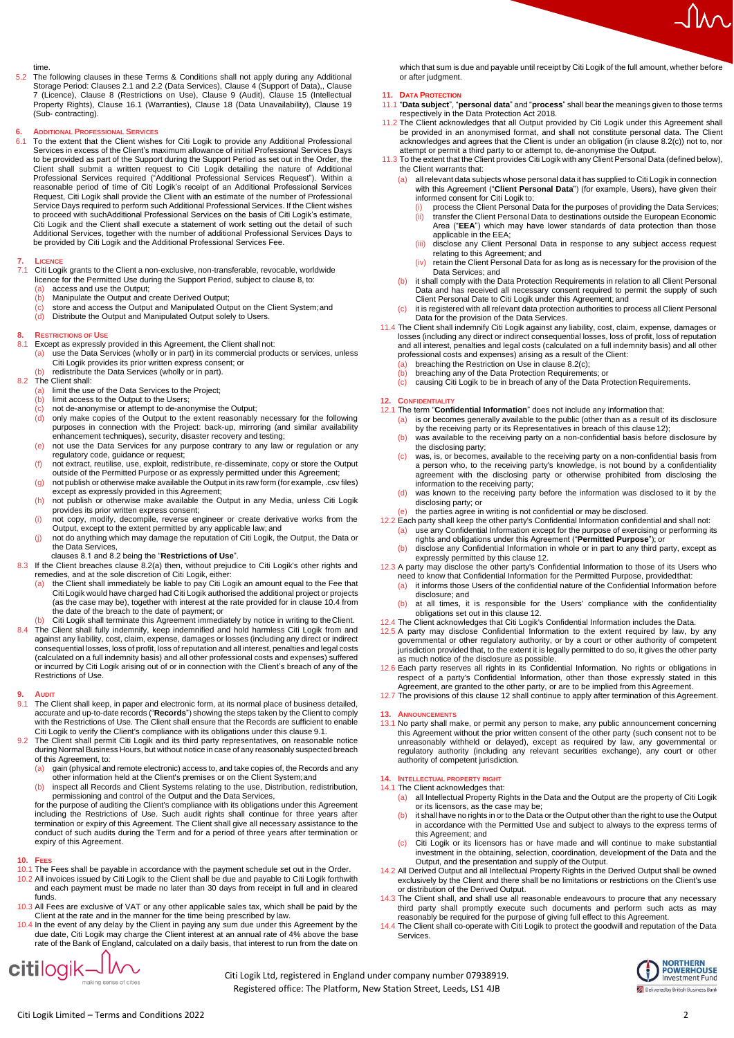#### time.

5.2 The following clauses in these Terms & Conditions shall not apply during any Additional Storage Period: Clauses 2.1 and 2.2 (Data Services), Clause 4 (Support of Data),, Clause 7 (Licence), Clause 8 (Restrictions on Use), Clause 9 (Audit), Clause 15 (Intellectual Property Rights), Clause 16.1 (Warranties), Clause 18 (Data Unavailability), Clause 19 (Sub- contracting).

## **6. ADDITIONAL PROFESSIONAL SERVICES**

To the extent that the Client wishes for Citi Logik to provide any Additional Professional Services in excess of the Client's maximum allowance of initial Professional Services Days<br>to be provided as part of the Support during the Support Period as set out in the Order, the<br>Client shall submit a written request Request, Citi Logik shall provide the Client with an estimate of the number of Professional Service Days required to perform such Additional Professional Services. If the Client wishes to proceed with suchAdditional Professional Services on the basis of Citi Logik's estimate, Citi Logik and the Client shall execute a statement of work setting out the detail of such Additional Services, together with the number of additional Professional Services Days to be provided by Citi Logik and the Additional Professional Services Fee.

## 7. **LICENCE**<br>7.1 Citi Logi

- Citi Logik grants to the Client a non-exclusive, non-transferable, revocable, worldwide
	- licence for the Permitted Use during the Support Period, subject to clause 8, to:<br>(a) access and use the Output;<br>(b) Manipulate the Output and create Derived Output;
- access and use the Output:
- 
- (b) Manipulate the Output and create Derived Output;<br>(c) store and access the Output and Manipulated Output<br>(d) Distribute the Output and Manipulated Output sole (c) store and access the Output and Manipulated Output on the Client System;and (d) Distribute the Output and Manipulated Output solely to Users.

## **8. RESTRICTIONS OF USE**

- 
- 8.1 Except as expressly provided in this Agreement, the Client shall not: (a) use the Data Services (wholly or in part) in its commercial products or services, unless Citi Logik provides its prior written express consent; or<br>(b) redistribute the Data Services (wholly or in part).
	-

# 8.2 The Client shall:<br>(a) limit the use

- (a) limit the use of the Data Services to the Project; (b) limit access to the Output to the Users;
- 
- $\begin{pmatrix} c \\ d \end{pmatrix}$  not de-anonymise or attempt to de-anonymise the Output;<br>(d) only make copies of the Output to the extent reasonably (d) only make copies of the Output to the extent reasonably necessary for the following<br>purposes in connection with the Project: back-up, mirroring (and similar availability<br>enhancement techniques), security, disaster reco
- (e) not use the Data Services for any purpose contrary to any law or regulation or any
- regulatory code, guidance or request; (f) not extract, reutilise, use, exploit, redistribute, re-disseminate, copy or store the Output
- outside of the Permitted Purpose or as expressly permitted under this Agreement; (g) not publish or otherwise make available the Output in its raw form (for example, .csv files) except as expressly provided in this Agreement;
- (h) not publish or otherwise make available the Output in any Media, unless Citi Logik provides its prior written express consent;
- (i) not copy, modify, decompile, reverse engineer or create derivative works from the Output, except to the extent permitted by any applicable law; and
- (j) not do anything which may damage the reputation of Citi Logik, the Output, the Data or the Data Services,

- clauses 8.1 and 8.2 being the "**Restrictions of Use**". 8.3 If the Client breaches clause 8.2(a) then, without prejudice to Citi Logik's other rights and remedies, and at the sole discretion of Citi Logik, either:
	- (a) the Client shall immediately be liable to pay Citi Logik an amount equal to the Fee that<br>Citi Logik would have charged had Citi Logik authorised the additional project or projects<br>(as the case may be), together with in the date of the breach to the date of payment; or
- (b) Citi Logik shall terminate this Agreement immediately by notice in writing to theClient. 8.4 The Client shall fully indemnify, keep indemnified and hold harmless Citi Logik from and against any liability, cost, claim, expense, damages or losses (including any direct or indirect consequential losses, loss of profit, loss of reputation and all interest, penalties and legal costs (calculated on a full indemnity basis) and all other professional costs and expenses) suffered or incurred by Citi Logik arising out of or in connection with the Client's breach of any of the Restrictions of Use.

- **9. AUDIT** The Client shall keep, in paper and electronic form, at its normal place of business detailed, accurate and up-to-date records ("**Records**") showing the steps taken by the Client to comply with the Restrictions of Use. The Client shall ensure that the Records are sufficient to enable Citi Logik to verify the Client's compliance with its obligations under this clause 9.1.
- 9.2 The Client shall permit Citi Logik and its third party representatives, on reasonable notice during Normal Business Hours, but without notice in case of any reasonably suspected breach of this Agreement, to:
	- (a) gain (physical and remote electronic) access to, and take copies of, the Records and any
	- other information held at the Client's premises or on the Client System; and<br>
	(b) inspect all Records and Client Systems relating to the use, Distribution, redistribution,<br>
	permissioning and control of the Output and the D

for the purpose of auditing the Client's compliance with its obligations under this Agreement including the Restrictions of Use. Such audit rights shall continue for three years after termination or expiry of this Agreement. The Client shall give all necessary assistance to the conduct of such audits during the Term and for a period of three years after termination or expiry of this Agreement.

#### **10. FEES**

- 
- 10.1 The Fees shall be payable in accordance with the payment schedule set out in the Order. 10.2 All invoices issued by Citi Logik to the Client shall be due and payable to Citi Logik forthwith and each payment must be made no later than 30 days from receipt in full and in cleared funds.
- 10.3 All Fees are exclusive of VAT or any other applicable sales tax, which shall be paid by the
- Client at the rate and in the manner for the time being prescribed by law.<br>10.4 In the event of any delay by the Client in paying any sum due under this Agreement by the<br>due date, Citi Logik may charge the Client interest rate of the Bank of England, calculated on a daily basis, that interest to run from the date on

**citilogik** M

which that sum is due and payable until receipt by Citi Logik of the full amount, whether before or after judgment.

#### **11. DATA PROTECTION**

- 11.1 "**Data subject**", "**personal data**" and "**process**" shall bear the meanings given to those terms respectively in the Data Protection Act 2018.
- 11.2 The Client acknowledges that all Output provided by Citi Logik under this Agreement shall be provided in an anonymised format, and shall not constitute personal data. The Client acknowledges and agrees that the Client is under an obligation (in clause 8.2(c)) not to, nor
- attempt or permit a third party to or attempt to, de-anonymise the Output. 11.3 To the extent that the Client provides Citi Logik with any Client Personal Data (defined below), the Client warrants that:
	- (a) all relevant data subjects whose personal data it has supplied to Citi Logik in connection with this Agreement ("**Client Personal Data**") (for example, Users), have given their informed consent for Citi Logik to:
		- (i) process the Client Personal Data for the purposes of providing the Data Services;<br>(ii) transfer the Client Personal Data to destinations outside the European Economic (ii) transfer the Client Personal Data to destinations outside the European Economic Area ("**EEA**") which may have lower standards of data protection than those applicable in the EEA;
		- (iii) disclose any Client Personal Data in response to any subject access request relating to this Agreement; and
		- (iv) retain the Client Personal Data for as long as is necessary for the provision of the Data Services; and
	- (b) it shall comply with the Data Protection Requirements in relation to all Client Personal Data and has received all necessary consent required to permit the supply of such
	- Client Personal Date to Citi Logik under this Agreement; and<br>(c) it is registered with all relevant data protection authorities to process all Client Personal Data for the provision of the Data Services.
- 11.4 The Client shall indemnify Citi Logik against any liability, cost, claim, expense, damages or losses (including any direct or indirect consequential losses, loss of profit, loss of reputation and all interest, penalties and legal costs (calculated on a full indemnity basis) and all other
	- professional costs and expenses) arising as a result of the Client:<br>(a) breaching the Restriction on Use in clause 8.2(c);
	-
	- (b) breaching any of the Data Protection Requirements; or  $(c)$  causing Citi Logik to be in breach of any of the Data Pr causing Citi Logik to be in breach of any of the Data Protection Requirements.

#### **12. CONFIDENTIALIT**

- 
- 12.1 The term "**Confidential Information**" does not include any information that:<br>(a) is or becomes generally available to the public (other than as a result of its disclosure<br>by the receiving party or its Representatives
	- (b) was available to the receiving party on a non-confidential basis before disclosure by the disclosing party;
	- (c) was, is, or becomes, available to the receiving party on a non-confidential basis from a person who, to the receiving party's knowledge, is not bound by a confidentiality agreement with the disclosing party or otherwise prohibited from disclosing the information to the receiving party;
	- (d) was known to the receiving party before the information was disclosed to it by the
	-
- disclosing party; or<br>
(e) the parties agree in writing is not confidential or may be disclosed.<br>
12.2 Each party shall keep the other party's Confidential Information confidential and shall not:<br>
(a) use any Confidential I
	- rights and obligations under this Agreement ("**Permitted Purpose**"); or (b) disclose any Confidential Information in whole or in part to any third party, except as expressly permitted by this clause 12.
- 12.3 A party may disclose the other party's Confidential Information to those of its Users who<br>need to know that Confidential Information for the Permitted Purpose, provided that:<br>(a) it informs those Users of the confiden
	- disclosure; and
	- (b) at all times, it is responsible for the Users' compliance with the confidentiality obligations set out in this clause 12.

- 12.4 The Client acknowledges that Citi Logik's Confidential Information includes the Data.<br>12.5 A party may disclose Confidential Information to the extent required by law, by any<br>governmental or other regulatory authority jurisdiction provided that, to the extent it is legally permitted to do so, it gives the other party
- as much notice of the disclosure as possible. 12.6 Each party reserves all rights in its Confidential Information. No rights or obligations in respect of a party's Confidential Information, other than those expressly stated in this
- Agreement, are granted to the other party, or are to be implied from this Agreement.<br>12.7 The provisions of this clause 12 shall continue to apply after termination of this Agreement.

#### **13. ANNOUNCEMENTS**

13.1 No party shall make, or permit any person to make, any public announcement concerning this Agreement without the prior written consent of the other party (such consent not to be unreasonably withheld or delayed), except as required by law, any governmental or regulatory authority (including any relevant securities exchange), any court or other authority of competent jurisdiction.

#### **14. INTELLECTUAL PROPERTY RIGHT** 14.1 The Client acknowledges that:

- (a) all Intellectual Property Rights in the Data and the Output are the property of Citi Logik or its licensors, as the case may be;
- it shall have no rights in or to the Data or the Output other than the right to use the Output in accordance with the Permitted Use and subject to always to the express terms of this Agreement; and
- (c) Citi Logik or its licensors has or have made and will continue to make substantial<br>investment in the obtaining, selection, coordination, development of the Data and the<br>Output, and the presentation and supply of the Ou
- or distribution of the Derived Output.
- 14.3 The Client shall, and shall use all reasonable endeavours to procure that any necessary third party shall promptly execute such documents and perform such acts as may reasonably be required for the purpose of giving f
- 14.4 The Client shall co-operate with Citi Logik to protect the goodwill and reputation of the Data **Services**



Citi Logik Ltd, registered in England under company number 07938919. Registered office: The Platform, New Station Street, Leeds, LS1 4JB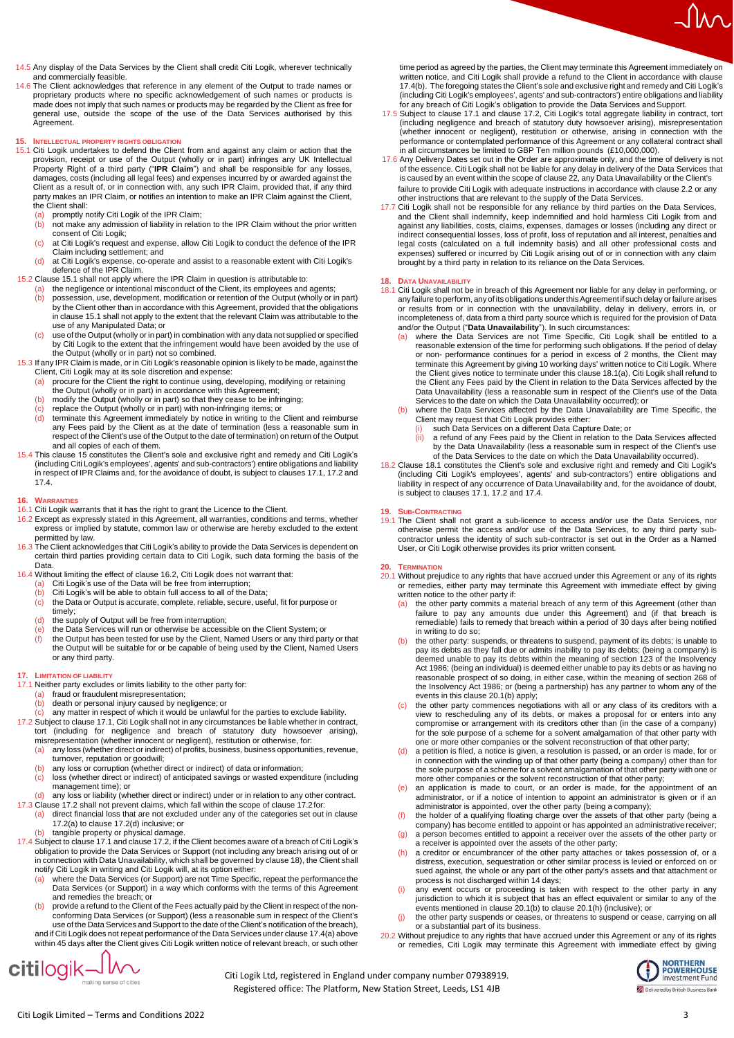

14.6 The Client acknowledges that reference in any element of the Output to trade names or proprietary products where no specific acknowledgement of such names or products is made does not imply that such names or products may be regarded by the Client as free for general use, outside the scope of the use of the Data Services authorised by this **Agreement** 

### **15. INTELLECTUAL PROPERTY RIGHTS OBLIGATION**

- 15.1 Citi Logik undertakes to defend the Client from and against any claim or action that the provision, receipt or use of the Output (wholly or in part) infringes any UK Intellectual Property Right of a third party ("**IPR Claim**") and shall be responsible for any losses, damages, costs (including all legal fees) and expenses incurred by or awarded against the Client as a result of, or in connection with, any such IPR Claim, provided that, if any third party makes an IPR Claim, or notifies an intention to make an IPR Claim against the Client, the Client shall:
	- (a) promptly notify Citi Logik of the IPR Claim;<br>(b) not make any admission of liability in relation
	- not make any admission of liability in relation to the IPR Claim without the prior written consent of Citi Logik;
	- (c) at Citi Logik's request and expense, allow Citi Logik to conduct the defence of the IPR Claim including settlement; and
- (d) at Citi Logik's expense, co-operate and assist to a reasonable extent with Citi Logik's defence of the IPR Claim.
- 15.2 Clause 15.1 shall not apply where the IPR Claim in question is attributable to: (a) the negligence or intentional misconduct of the Client, its employees and agents;
	- (b) possession, use, development, modification or retention of the Output (wholly or in part) by the Client other than in accordance with this Agreement, provided that the obligations in clause 15.1 shall not apply to the extent that the relevant Claim was attributable to the use of any Manipulated Data; or
	- (c) use of the Output (wholly or in part) in combination with any data not supplied or specified by the use of<br>by Citi Logik to the extent that the infringement would have been avoided by the use of the Output (wholly or in part) not so combined.
- 15.3 If any IPR Claim is made, or in Citi Logik's reasonable opinion is likely to be made, against the Client, Citi Logik may at its sole discretion and expense:
	-
	- (a) procure for the Client the right to continue using, developing, modifying or retaining<br>the Output (wholly or in part) in accordance with this Agreement;<br>(b) modify the Output (wholly or in part) so that they cease to b
	-
	- $\begin{pmatrix} c \\ c \end{pmatrix}$  replace the Output (wholly or in part) with non-infringing items; or (d) terminate this Agreement immediately by notice in writing to the (d) terminate this Agreement immediately by notice in writing to the Client and reimburse any Fees paid by the Client as at the date of termination (less a reasonable sum in respect of the Client's use of the Output to the date of termination) on return of the Output
- and all copies of each of them. 15.4 This clause 15 constitutes the Client's sole and exclusive right and remedy and Citi Logik's (including Citi Logik's employees', agents' and sub-contractors') entire obligations and liability in respect of IPR Claims and, for the avoidance of doubt, is subject to clauses 17.1, 17.2 and 17.4.

### **16. WARRANTIES**

- 
- 16.1 Citi Logik warrants that it has the right to grant the Licence to the Client. 16.2 Except as expressly stated in this Agreement, all warranties, conditions and terms, whether express or implied by statute, common law or otherwise are hereby excluded to the extent permitted by law.
- 16.3 The Client acknowledges that Citi Logik's ability to provide the Data Services is dependent on certain third parties providing certain data to Citi Logik, such data forming the basis of the Data.
- 16.4 Without limiting the effect of clause 16.2, Citi Logik does not warrant that:<br>(a) Citi Logik's use of the Data will be free from interruption;
	- (a) Citi Logik's use of the Data will be free from interruption;<br>(b) Citi Logik's will be able to obtain full access to all of the Data;
	-
	- (c) the Data or Output is accurate, complete, reliable, secure, useful, fit for purpose or timely;
	-
	- (d) the supply of Output will be free from interruption;<br>(e) the Data Services will run or otherwise be accessi (e) the Data Services will run or otherwise be accessible on the Client System; or  $\frac{1}{10}$  the Output has been tested for use by the Client. Named Users or any third par
	- the Output has been tested for use by the Client, Named Users or any third party or that the Output will be suitable for or be capable of being used by the Client, Named Users or any third party.

### **17. LIMITATION OF LIABILITY**

- 17.1 Neither party excludes or limits liability to the other party for:<br>(a) fraud or fraudulent misrepresentation;
	- fraud or fraudulent misrepresentation;
	-
	- (b) death or personal injury caused by negligence; or (c) any matter in respect of which it would be unlawful for the parties to exclude liability.
- 17.2 Subject to clause 17.1, Citi Logik shall not in any circumstances be liable whether in contract,<br>tort (including for negligence and breach of statutory duty howsoever arising),<br>misrepresentation (whether innocent or n
	- any loss (whether direct or indirect) of profits, business, business opportunities, revenue,
	- turnover, reputation or goodwill;<br>(b) any loss or corruption (whether direct or indirect) of data or information;
	- (c) loss (whether direct or indirect) of anticipated savings or wasted expenditure (including management time); or
	- (d) any loss or liability (whether direct or indirect) under or in relation to any other contract.
- 17.3 Clause 17.2 shall not prevent claims, which fall within the scope of clause 17.2for: (a) direct financial loss that are not excluded under any of the categories set out in clause 17.2(a) to clause 17.2(d) inclusive; or
	-
- (b) tangible property or physical damage. 17.4 Subject to clause 17.1 and clause 17.2, if the Client becomes aware of a breach of Citi Logik's obligation to provide the Data Services or Support (not including any breach arising out of or in connection with Data Unavailability, which shall be governed by clause 18), the Client shall<br>notify Citi Logik in writing and Citi Logik will, at its option either:<br>(a) where the Data Services (or Support) are not Time
	- Data Services (or Support) in a way which conforms with the terms of this Agreement and remedies the breach; or
	- (b) provide a refund to the Client of the Fees actually paid by the Client in respect of the nonconforming Data Services (or Support) (less a reasonable sum in respect of the Client's<br>use of the Data Services and Support to the date of the Client's notification of the breach),<br>and if Citi Logik does not repeat perfor

within 45 days after the Client gives Citi Logik written notice of relevant breach, or such other

 $\text{citilogik}\_\_\text{making sense of cities}$ 

**OD POWERHOUSE**<br>Investment Fund Delivered by British Bu

time period as agreed by the parties, the Client may terminate this Agreement immediately on written notice, and Citi Logik shall provide a refund to the Client in accordance with clause 17.4(b). The foregoing states the Client's sole and exclusive right and remedy and Citi Logik's (including Citi Logik's employees', agents' and sub-contractors') entire obligations and liability<br>for any breach of Citi Logik's obligation to provide the Data Services and Support.

- 17.5 Subject to clause 17.1 and clause 17.2, Citi Logik's total aggregate liability in contract, tort (including negligence and breach of statutory duty howsoever arising), misrepresentation (whether innocent or negligent), restitution or otherwise, arising in connection with the performance or contemplated performance of this Agreement or any collateral contract shall<br>in all circumstances be limited to GBP Ten million pounds (£10,000,000).<br>17.6 Any Delivery Dates set out in the Order are approxima
- of the essence. Citi Logik shall not be liable for any delay in delivery of the Data Services that is caused by an event within the scope of clause 22, any Data Unavailability or the Client's failure to provide Citi Logik with adequate instructions in accordance with clause 2.2 or any other instructions that are relevant to the supply of the Data Services.
- 17.7 Citi Logik shall not be responsible for any reliance by third parties on the Data Services, and the Client shall indemnify, keep indemnified and hold harmless Citi Logik from and against any liabilities, costs, claims, expenses, damages or losses (including any direct or indirect consequential losses, loss of profit, loss of reputation and all interest, penalties and legal costs (calculated on a full indemnity basis) and all other professional costs and expenses) suffered or incurred by Citi Logik arising out of or in connection with any claim brought by a third party in relation to its reliance on the Data Services.

### **18. DATA UNAVAILABILITY**

- 18.1 Citi Logik shall not be in breach of this Agreement nor liable for any delay in performing, or any failure to perform, any of its obligations under this Agreement if such delay or failure arises<br>or results from or in connection with the unavailability, delay in delivery, errors in, or incompleteness of, data from a third party source which is required for the provision of Data
	- and/or the Output ("**Data Unavailability**"). In such circumstances:<br>(<mark>a)</mark> where the Data Services are not Time Specific, Citi Logik shall be entitled to a reasonable extension of the time for performing such obligations. If the period of delay or non- performance continues for a period in excess of 2 months, the Client may<br>terminate this Agreement by giving 10 working days' written notice to Citi Logik. Where<br>the Client gives notice to terminate under this claus the Client any Fees paid by the Client in relation to the Data Services affected by the Data Unavailability (less a reasonable sum in respect of the Client's use of the Data Services to the date on which the Data Unavailability occurred); or
	- (b) where the Data Services affected by the Data Unavailability are Time Specific, the<br>Client may request that Citi Logik provides either:<br>(i) such Data Services on a different Data Capture Date; or
		-
		- (ii) a refund of any Fees paid by the Client in relation to the Data Services affected by the Data Unavailability (less a reasonable sum in respect of the Client's use of the Data Services to the date on which the Data Unavailability occurred).
- 18.2 Clause 18.1 constitutes the Client's sole and exclusive right and remedy and Citi Logik's<br>(including Citi Logik's employees', agents' and sub-contractors') entire obligations and<br>liability in respect of any occurrence is subject to clauses 17.1, 17.2 and 17.4.

## **19. SUB-CONTRACTING**

19.1 The Client shall not grant a sub-licence to access and/or use the Data Services, nor otherwise permit the access and/or use of the Data Services, to any third party subcontractor unless the identity of such sub-contractor is set out in the Order as a Named User, or Citi Logik otherwise provides its prior written consent.

Citi Logik Ltd, registered in England under company number 07938919. Registered office: The Platform, New Station Street, Leeds, LS1 4JB

- **20. TERMINATION** 20.1 Without prejudice to any rights that have accrued under this Agreement or any of its rights or remedies, either party may terminate this Agreement with immediate effect by giving written notice to the other party if:
	- (a) the other party commits a material breach of any term of this Agreement (other than failure to pay any amounts due under this Agreement) and (if that breach is remediable) fails to remedy that breach within a period of 30 days after being notified in writing to do so;
	- (b) the other party: suspends, or threatens to suspend, payment of its debts; is unable to pay its debts as they fall due or admits inability to pay its debts; (being a company) is deemed unable to pay its debts within the meaning of section 123 of the Insolvency Act 1986; (being an individual) is deemed either unable to pay its debts or as having no reasonable prospect of so doing, in either case, within the meaning of section 268 of the Insolvency Act 1986; or (being a partnership) has any partner to whom any of the events in this clause 20.1(b) apply;
	- (c) the other party commences negotiations with all or any class of its creditors with a view to rescheduling any of its debts, or makes a proposal for or enters into any compromise or arrangement with its creditors other than (in the case of a company) for the sole purpose of a scheme for a solvent amalgamation of that other party with
	- one or more other companies or the solvent reconstruction of that other party;<br>(d) a petition is filed, a notice is given, a resolution is passed, or an order is made, for or in connection with the winding up of that other party (being a company) other than for the sole purpose of a scheme for a solvent amalgamation of that other party with one or more other companies or the solvent reconstruction of that other party;
	- (e) an application is made to court, or an order is made, for the appointment of an administrator, or if a notice of intention to appoint an administrator is given or if an<br>administrator is appointed, over the other party (being a company);<br>(f) the holder of a qualifying floating charge over the assets of
	- company) has become entitled to appoint or has appointed an administrative receiver; (g) a person becomes entitled to appoint a receiver over the assets of the other party or
	-
	- a receiver is appointed over the assets of the other party;<br>(h) a creditor or encumbrancer of the other party attaches or takes possession of, or a<br>distress, execution, sequestration or other similar process is levied or e sued against, the whole or any part of the other party's assets and that attachment or process is not discharged within 14 days;
	- (i) any event occurs or proceeding is taken with respect to the other party in any jurisdiction to which it is subject that has an effect equivalent or similar to any of the events mentioned in clause 20.1(b) to clause 20
	- (j) the other party suspends or ceases, or threatens to suspend or cease, carrying on all or a substantial part of its business.